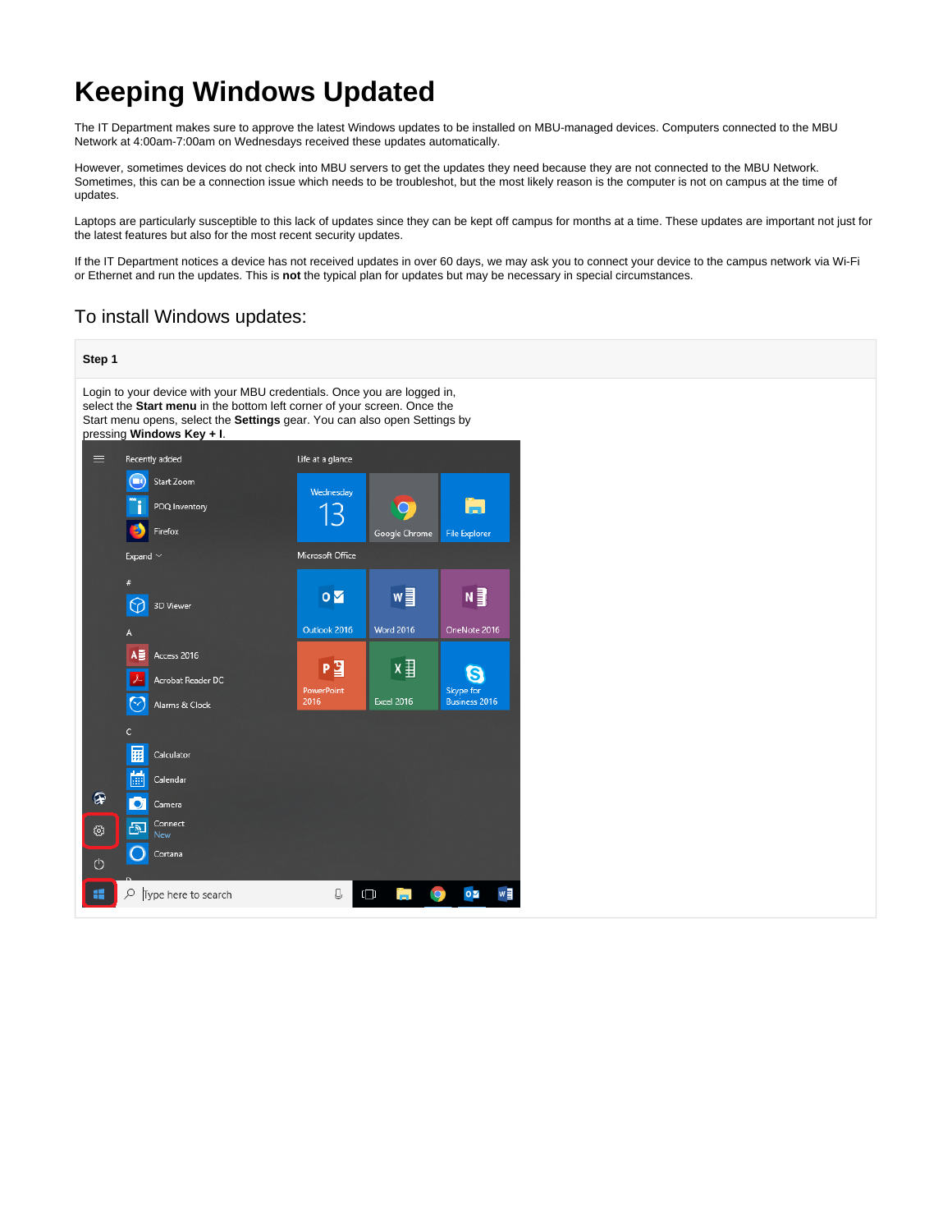# **Keeping Windows Updated**

The IT Department makes sure to approve the latest Windows updates to be installed on MBU-managed devices. Computers connected to the MBU Network at 4:00am-7:00am on Wednesdays received these updates automatically.

However, sometimes devices do not check into MBU servers to get the updates they need because they are not connected to the MBU Network. Sometimes, this can be a connection issue which needs to be troubleshot, but the most likely reason is the computer is not on campus at the time of updates.

Laptops are particularly susceptible to this lack of updates since they can be kept off campus for months at a time. These updates are important not just for the latest features but also for the most recent security updates.

If the IT Department notices a device has not received updates in over 60 days, we may ask you to connect your device to the campus network via Wi-Fi or Ethernet and run the updates. This is **not** the typical plan for updates but may be necessary in special circumstances.

# To install Windows updates:

#### **Step 1** Login to your device with your MBU credentials. Once you are logged in, select the **Start menu** in the bottom left corner of your screen. Once the Start menu opens, select the **Settings** gear. You can also open Settings by pressing **Windows Key + I**.Recently added Life at a glance **B** Start Zoom Wednesdav a PDQ Inventon 13  $\bigcirc$ Firefox Google Chrome File Explore Microsoft Office **Expand**  $\overline{\mathbf{O}}$ w≣ N ∃ ᢙ 3D Viewer Outlook 2016 **Word 2016** OneNote 2016 A≣ Access 2016  $x \equiv$ Pョ G Acrobat Reader DC Skype fo Excel 2016  $\overline{ }$ ess 2016  $2016$ Alarms & Clock Calculator Calendar ଢ଼ Camera Connect සූ 囹 ∩ Cortana  $\phi$  $\Omega$ Q  $\Box$  $\circ \triangleright$ æ Type here to search w∃ Н **IQ**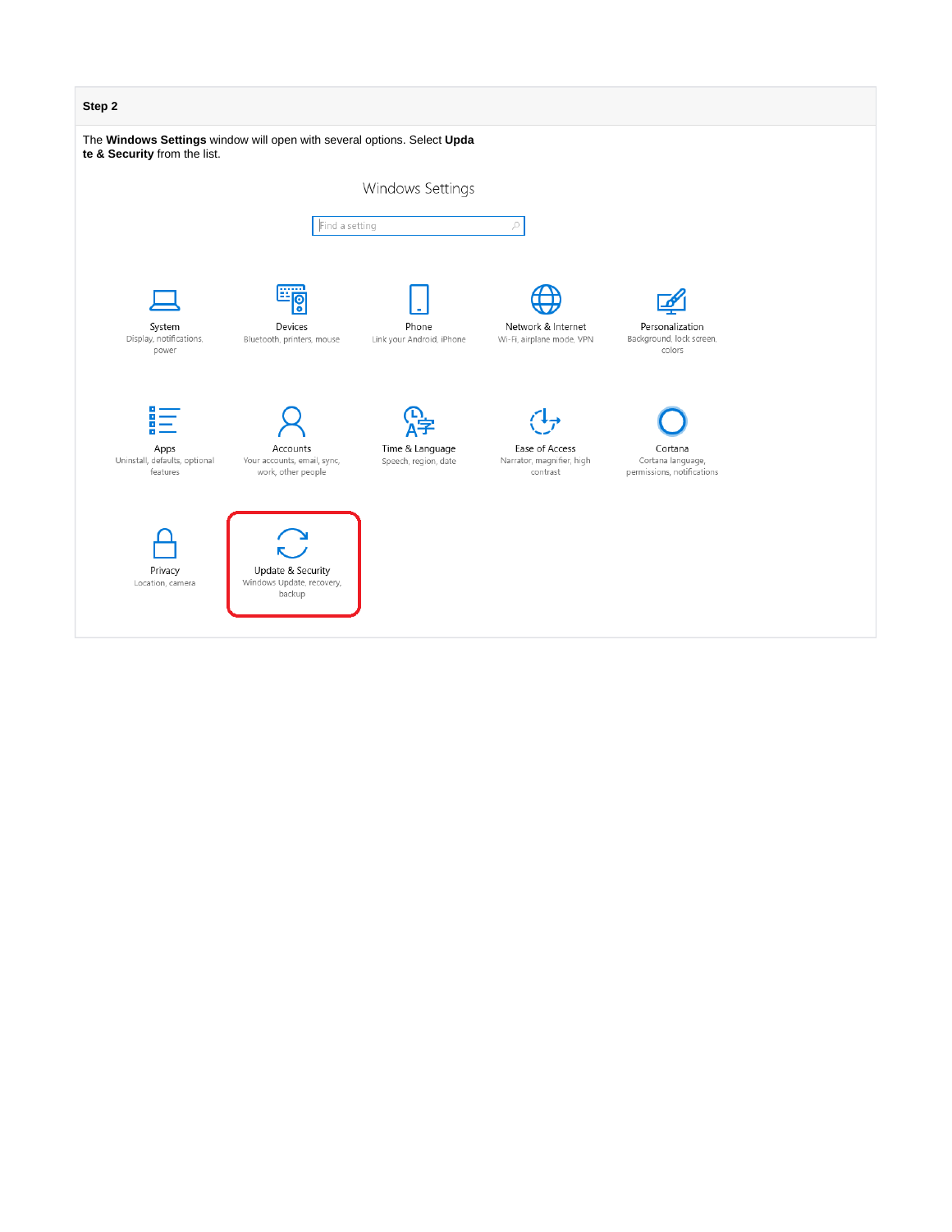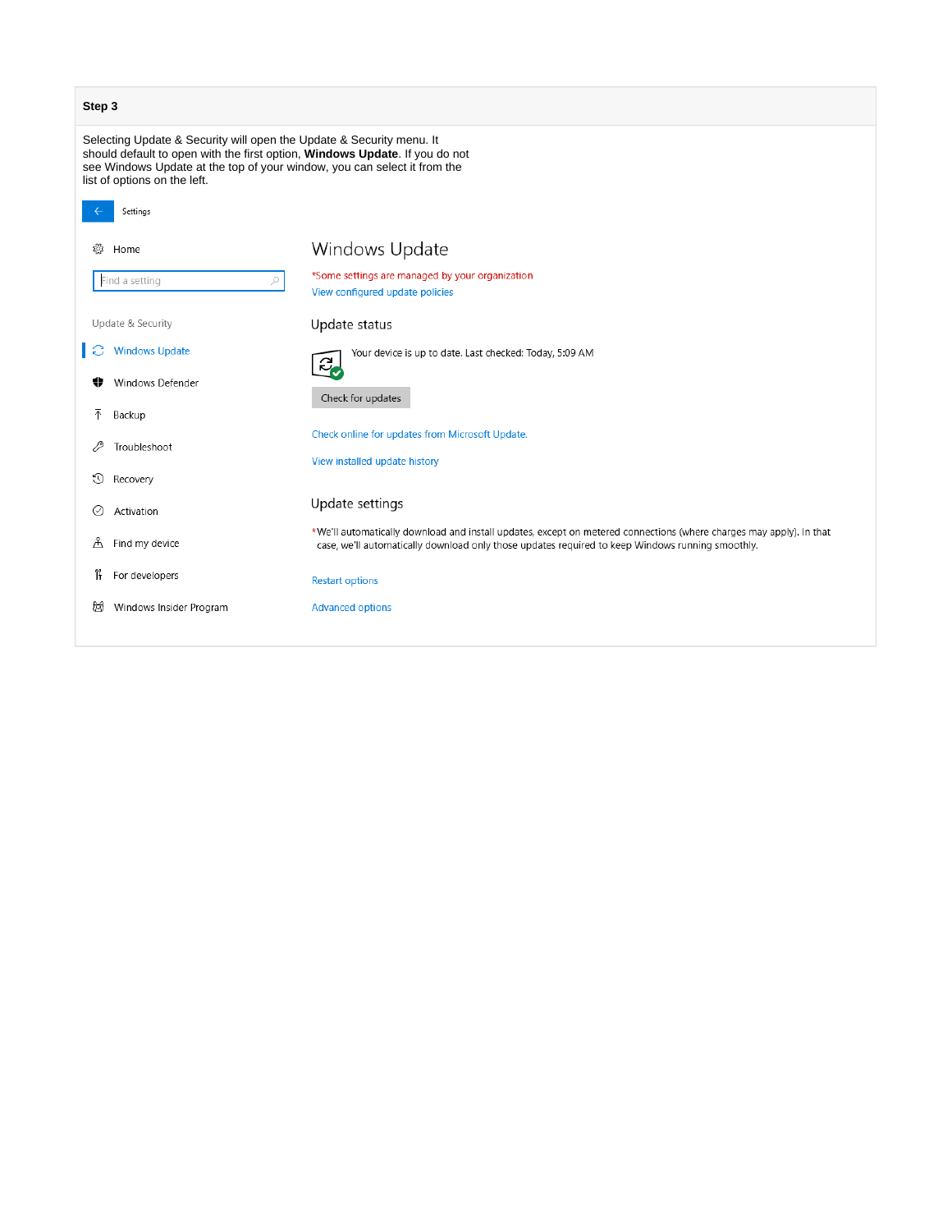| Step 3                                                                                                                                                                                                                                                          |                         |                                                                                                                                                                                                                         |  |
|-----------------------------------------------------------------------------------------------------------------------------------------------------------------------------------------------------------------------------------------------------------------|-------------------------|-------------------------------------------------------------------------------------------------------------------------------------------------------------------------------------------------------------------------|--|
| Selecting Update & Security will open the Update & Security menu. It<br>should default to open with the first option, Windows Update. If you do not<br>see Windows Update at the top of your window, you can select it from the<br>list of options on the left. |                         |                                                                                                                                                                                                                         |  |
| Settings                                                                                                                                                                                                                                                        |                         |                                                                                                                                                                                                                         |  |
| Home                                                                                                                                                                                                                                                            |                         | Windows Update                                                                                                                                                                                                          |  |
| Find a setting                                                                                                                                                                                                                                                  | ₽                       | *Some settings are managed by your organization<br>View configured update policies                                                                                                                                      |  |
| Update & Security                                                                                                                                                                                                                                               |                         | Update status                                                                                                                                                                                                           |  |
|                                                                                                                                                                                                                                                                 | <b>Windows Update</b>   | Your device is up to date. Last checked: Today, 5:09 AM<br>$\partial_{\boldsymbol{c}}$                                                                                                                                  |  |
|                                                                                                                                                                                                                                                                 | Windows Defender        | Check for updates                                                                                                                                                                                                       |  |
| 个<br>Backup                                                                                                                                                                                                                                                     |                         |                                                                                                                                                                                                                         |  |
| Troubleshoot                                                                                                                                                                                                                                                    |                         | Check online for updates from Microsoft Update.                                                                                                                                                                         |  |
| 0<br>Recovery                                                                                                                                                                                                                                                   |                         | View installed update history                                                                                                                                                                                           |  |
| Activation<br>⊙                                                                                                                                                                                                                                                 |                         | Update settings                                                                                                                                                                                                         |  |
| Å<br>Find my device                                                                                                                                                                                                                                             |                         | *We'll automatically download and install updates, except on metered connections (where charges may apply). In that<br>case, we'll automatically download only those updates required to keep Windows running smoothly. |  |
| îł<br>For developers                                                                                                                                                                                                                                            |                         | <b>Restart options</b>                                                                                                                                                                                                  |  |
| 岚                                                                                                                                                                                                                                                               | Windows Insider Program | <b>Advanced options</b>                                                                                                                                                                                                 |  |
|                                                                                                                                                                                                                                                                 |                         |                                                                                                                                                                                                                         |  |